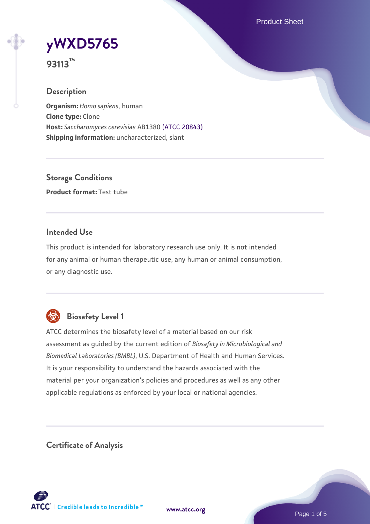Product Sheet



**93113™**

### **Description**

**Organism:** *Homo sapiens*, human **Clone type:** Clone **Host:** *Saccharomyces cerevisiae* AB1380 [\(ATCC 20843\)](https://www.atcc.org/products/20843) **Shipping information:** uncharacterized, slant

**Storage Conditions Product format:** Test tube

### **Intended Use**

This product is intended for laboratory research use only. It is not intended for any animal or human therapeutic use, any human or animal consumption, or any diagnostic use.



## **Biosafety Level 1**

ATCC determines the biosafety level of a material based on our risk assessment as guided by the current edition of *Biosafety in Microbiological and Biomedical Laboratories (BMBL)*, U.S. Department of Health and Human Services. It is your responsibility to understand the hazards associated with the material per your organization's policies and procedures as well as any other applicable regulations as enforced by your local or national agencies.

**Certificate of Analysis**

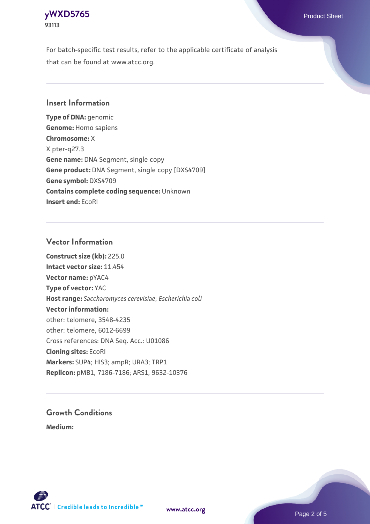## **[yWXD5765](https://www.atcc.org/products/93113)** Product Sheet **93113**

For batch-specific test results, refer to the applicable certificate of analysis that can be found at www.atcc.org.

#### **Insert Information**

**Type of DNA:** genomic **Genome:** Homo sapiens **Chromosome:** X X pter-q27.3 **Gene name:** DNA Segment, single copy **Gene product:** DNA Segment, single copy [DXS4709] **Gene symbol:** DXS4709 **Contains complete coding sequence:** Unknown **Insert end:** EcoRI

#### **Vector Information**

**Construct size (kb):** 225.0 **Intact vector size:** 11.454 **Vector name:** pYAC4 **Type of vector:** YAC **Host range:** *Saccharomyces cerevisiae*; *Escherichia coli* **Vector information:** other: telomere, 3548-4235 other: telomere, 6012-6699 Cross references: DNA Seq. Acc.: U01086 **Cloning sites:** EcoRI **Markers:** SUP4; HIS3; ampR; URA3; TRP1 **Replicon:** pMB1, 7186-7186; ARS1, 9632-10376

# **Growth Conditions**

**Medium:** 



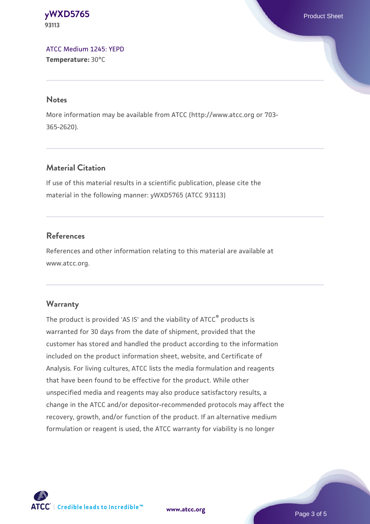**[yWXD5765](https://www.atcc.org/products/93113)** Product Sheet **93113**

[ATCC Medium 1245: YEPD](https://www.atcc.org/-/media/product-assets/documents/microbial-media-formulations/1/2/4/5/atcc-medium-1245.pdf?rev=705ca55d1b6f490a808a965d5c072196) **Temperature:** 30°C

#### **Notes**

More information may be available from ATCC (http://www.atcc.org or 703- 365-2620).

### **Material Citation**

If use of this material results in a scientific publication, please cite the material in the following manner: yWXD5765 (ATCC 93113)

#### **References**

References and other information relating to this material are available at www.atcc.org.

#### **Warranty**

The product is provided 'AS IS' and the viability of ATCC® products is warranted for 30 days from the date of shipment, provided that the customer has stored and handled the product according to the information included on the product information sheet, website, and Certificate of Analysis. For living cultures, ATCC lists the media formulation and reagents that have been found to be effective for the product. While other unspecified media and reagents may also produce satisfactory results, a change in the ATCC and/or depositor-recommended protocols may affect the recovery, growth, and/or function of the product. If an alternative medium formulation or reagent is used, the ATCC warranty for viability is no longer

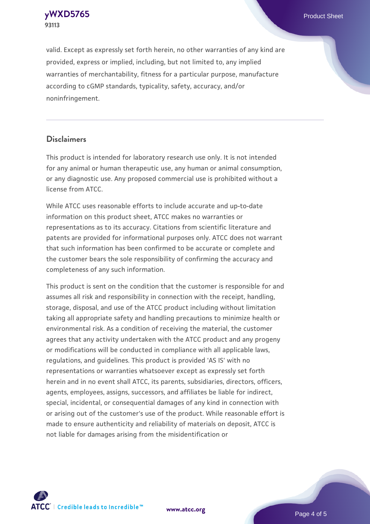**[yWXD5765](https://www.atcc.org/products/93113)** Product Sheet **93113**

valid. Except as expressly set forth herein, no other warranties of any kind are provided, express or implied, including, but not limited to, any implied warranties of merchantability, fitness for a particular purpose, manufacture according to cGMP standards, typicality, safety, accuracy, and/or noninfringement.

#### **Disclaimers**

This product is intended for laboratory research use only. It is not intended for any animal or human therapeutic use, any human or animal consumption, or any diagnostic use. Any proposed commercial use is prohibited without a license from ATCC.

While ATCC uses reasonable efforts to include accurate and up-to-date information on this product sheet, ATCC makes no warranties or representations as to its accuracy. Citations from scientific literature and patents are provided for informational purposes only. ATCC does not warrant that such information has been confirmed to be accurate or complete and the customer bears the sole responsibility of confirming the accuracy and completeness of any such information.

This product is sent on the condition that the customer is responsible for and assumes all risk and responsibility in connection with the receipt, handling, storage, disposal, and use of the ATCC product including without limitation taking all appropriate safety and handling precautions to minimize health or environmental risk. As a condition of receiving the material, the customer agrees that any activity undertaken with the ATCC product and any progeny or modifications will be conducted in compliance with all applicable laws, regulations, and guidelines. This product is provided 'AS IS' with no representations or warranties whatsoever except as expressly set forth herein and in no event shall ATCC, its parents, subsidiaries, directors, officers, agents, employees, assigns, successors, and affiliates be liable for indirect, special, incidental, or consequential damages of any kind in connection with or arising out of the customer's use of the product. While reasonable effort is made to ensure authenticity and reliability of materials on deposit, ATCC is not liable for damages arising from the misidentification or



**[www.atcc.org](http://www.atcc.org)**

Page 4 of 5